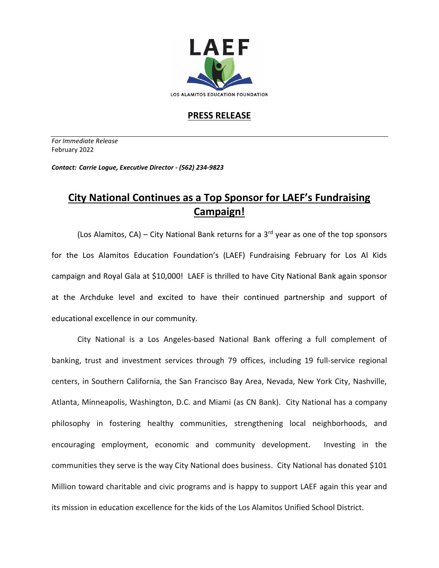

## **PRESS RELEASE**

*For Immediate Release*  February 2022

*Contact: Carrie Logue, Executive Director - (562) 234-9823*

## **City National Continues as a Top Sponsor for LAEF's Fundraising Campaign!**

(Los Alamitos, CA) – City National Bank returns for a  $3<sup>rd</sup>$  year as one of the top sponsors for the Los Alamitos Education Foundation's (LAEF) Fundraising February for Los Al Kids campaign and Royal Gala at \$10,000! LAEF is thrilled to have City National Bank again sponsor at the Archduke level and excited to have their continued partnership and support of educational excellence in our community.

City National is a Los Angeles-based National Bank offering a full complement of banking, trust and investment services through 79 offices, including 19 full-service regional centers, in Southern California, the San Francisco Bay Area, Nevada, New York City, Nashville, Atlanta, Minneapolis, Washington, D.C. and Miami (as CN Bank). City National has a company philosophy in fostering healthy communities, strengthening local neighborhoods, and encouraging employment, economic and community development. Investing in the communities they serve is the way City National does business. City National has donated \$101 Million toward charitable and civic programs and is happy to support LAEF again this year and its mission in education excellence for the kids of the Los Alamitos Unified School District.